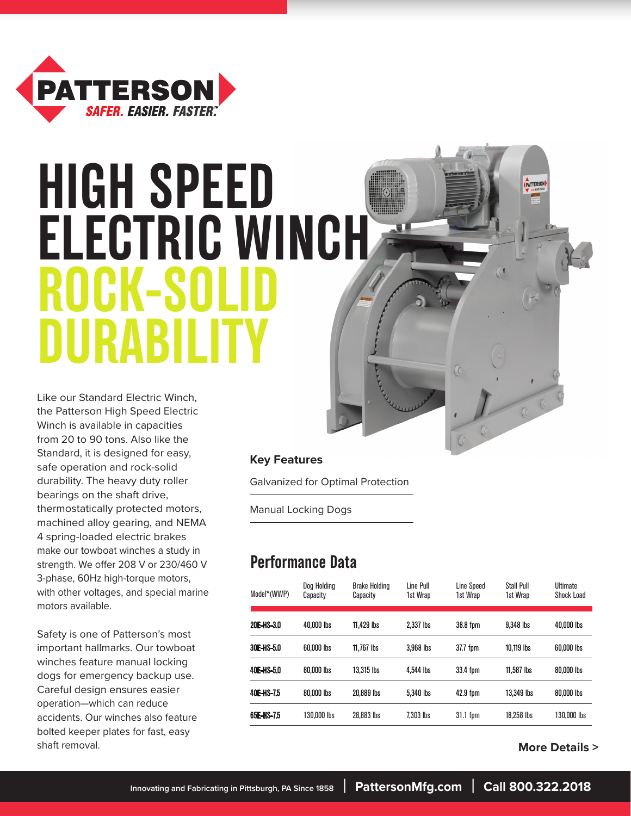

# **HIGH SPEED ELECTRIC WINCH ROCK-SOLI DURABILITY**

Like our Standard Electric Winch, the Patterson High Speed Electric Winch is available in capacities from 20 to 90 tons. Also like the Standard, it is designed for easy, safe operation and rock-solid durability. The heavy duty roller bearings on the shaft drive, thermostatically protected motors, machined alloy gearing, and NEMA 4 spring-loaded electric brakes make our towboat winches a study in strength. We offer 208 V or 230/460 V 3-phase, 60Hz high-torque motors, with other voltages, and special marine motors available.

Safety is one of Patterson's most important hallmarks. Our towboat winches feature manual locking dogs for emergency backup use. Careful design ensures easier operation—which can reduce accidents. Our winches also feature bolted keeper plates for fast, easy shaft removal.

#### **Key Features**

Galvanized for Optimal Protection

Manual Locking Dogs

### **Performance Data**

| Model*(WWP) | Doa Holdina<br>Capacity | <b>Brake Holding</b><br>Capacity | Line Pull<br>1st Wrap | Line Speed<br>1st Wrap | <b>Stall Pull</b><br>1st Wrap | <b>Ultimate</b><br>Shock Load |
|-------------|-------------------------|----------------------------------|-----------------------|------------------------|-------------------------------|-------------------------------|
| 20E-HS-3.0  | 40,000 lbs              | 11.429 lbs                       | 2.337 lbs             | 38.8 fpm               | 9.348 lbs                     | 40,000 lbs                    |
| 30E-HS-5.0  | 60,000 lbs              | $11.767$ lbs                     | 3.968 lbs             | 37.7 fpm               | 10.119 lbs                    | 60,000 lbs                    |
| 40E-HS-5.0  | 80,000 lbs              | 13.315 lbs                       | 4.544 lbs             | 33.4 fpm               | $11.587$ lbs                  | 80,000 lbs                    |
| 40E-HS-75   | 80,000 lbs              | 20.889 lbs                       | 5.340 lbs             | 42.9 fpm               | 13,349 lbs                    | 80,000 lbs                    |
| 65E-HS-7.5  | 130.000 lbs             | 28,883 lbs                       | 7.303 lbs             | $31.1$ fpm             | 18.258 lbs                    | 130,000 lbs                   |

 **More Details >**

**PATTERSON**